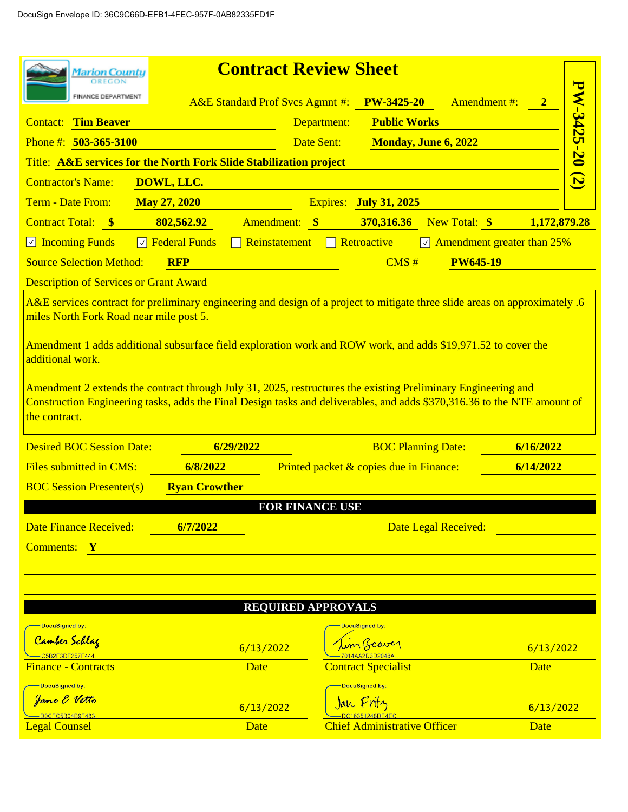| <b>Marion County</b>                                                                                                                                                                                                                                       |                                                                                                                            | <b>Contract Review Sheet</b>               |                                         |                           |                                       |              |
|------------------------------------------------------------------------------------------------------------------------------------------------------------------------------------------------------------------------------------------------------------|----------------------------------------------------------------------------------------------------------------------------|--------------------------------------------|-----------------------------------------|---------------------------|---------------------------------------|--------------|
| FINANCE DEPARTMENT                                                                                                                                                                                                                                         |                                                                                                                            | <b>A&amp;E Standard Prof Svcs Agmnt #:</b> | <b>PW-3425-20</b>                       |                           | <b>Amendment #:</b>                   |              |
| <b>Contact:</b> Tim Beaver                                                                                                                                                                                                                                 |                                                                                                                            | Department:                                | <b>Public Works</b>                     |                           |                                       |              |
| Phone #: $503-365-3100$                                                                                                                                                                                                                                    |                                                                                                                            | Date Sent:                                 |                                         |                           |                                       |              |
|                                                                                                                                                                                                                                                            | <b>PW-3425-20 (2)</b><br><b>Monday, June 6, 2022</b><br>Title: A&E services for the North Fork Slide Stabilization project |                                            |                                         |                           |                                       |              |
| <b>Contractor's Name:</b>                                                                                                                                                                                                                                  | DOWL, LLC.                                                                                                                 |                                            |                                         |                           |                                       |              |
| Term - Date From:                                                                                                                                                                                                                                          | <b>May 27, 2020</b>                                                                                                        |                                            | <b>Expires:</b> July 31, 2025           |                           |                                       |              |
| Contract Total: \$                                                                                                                                                                                                                                         | 802,562.92                                                                                                                 | Amendment: \$                              | 370,316.36                              | New Total: \$             |                                       | 1,172,879.28 |
| $\Box$ Incoming Funds<br>$ \vee $                                                                                                                                                                                                                          | <b>Federal Funds</b>                                                                                                       | Reinstatement                              | $\Box$ Retroactive                      |                           | $\sqrt{ }$ Amendment greater than 25% |              |
| <b>Source Selection Method:</b>                                                                                                                                                                                                                            | <b>RFP</b>                                                                                                                 |                                            | CMS#                                    | <b>PW645-19</b>           |                                       |              |
| <b>Description of Services or Grant Award</b>                                                                                                                                                                                                              |                                                                                                                            |                                            |                                         |                           |                                       |              |
| A&E services contract for preliminary engineering and design of a project to mitigate three slide areas on approximately .6<br>miles North Fork Road near mile post 5.                                                                                     |                                                                                                                            |                                            |                                         |                           |                                       |              |
| Amendment 1 adds additional subsurface field exploration work and ROW work, and adds \$19,971.52 to cover the<br>additional work.                                                                                                                          |                                                                                                                            |                                            |                                         |                           |                                       |              |
| Amendment 2 extends the contract through July 31, 2025, restructures the existing Preliminary Engineering and<br>Construction Engineering tasks, adds the Final Design tasks and deliverables, and adds \$370,316.36 to the NTE amount of<br>the contract. |                                                                                                                            |                                            |                                         |                           |                                       |              |
|                                                                                                                                                                                                                                                            |                                                                                                                            |                                            |                                         |                           |                                       |              |
| <b>Desired BOC Session Date:</b>                                                                                                                                                                                                                           | 6/29/2022                                                                                                                  |                                            |                                         | <b>BOC Planning Date:</b> | 6/16/2022                             |              |
| <b>Files submitted in CMS:</b>                                                                                                                                                                                                                             | 6/8/2022                                                                                                                   |                                            | Printed packet & copies due in Finance: |                           | 6/14/2022                             |              |
| <b>BOC Session Presenter(s)</b>                                                                                                                                                                                                                            | <b>Ryan Crowther</b>                                                                                                       |                                            |                                         |                           |                                       |              |
|                                                                                                                                                                                                                                                            |                                                                                                                            | <b>FOR FINANCE USE</b>                     |                                         |                           |                                       |              |
| <b>Date Finance Received:</b>                                                                                                                                                                                                                              | 6/7/2022                                                                                                                   |                                            |                                         | Date Legal Received:      |                                       |              |
| <b>Comments:</b> Y                                                                                                                                                                                                                                         |                                                                                                                            |                                            |                                         |                           |                                       |              |
|                                                                                                                                                                                                                                                            |                                                                                                                            |                                            |                                         |                           |                                       |              |
|                                                                                                                                                                                                                                                            |                                                                                                                            |                                            |                                         |                           |                                       |              |
|                                                                                                                                                                                                                                                            |                                                                                                                            | <b>REQUIRED APPROVALS</b>                  |                                         |                           |                                       |              |
| DocuSigned by:                                                                                                                                                                                                                                             |                                                                                                                            |                                            | <b>DocuSigned by:</b>                   |                           |                                       |              |
| Camber Schlag<br>C5B2F3DF257F444                                                                                                                                                                                                                           |                                                                                                                            | 6/13/2022                                  | im Beaver                               |                           | 6/13/2022                             |              |
| <b>Finance - Contracts</b>                                                                                                                                                                                                                                 |                                                                                                                            | <b>Date</b>                                | <b>Contract Specialist</b>              |                           | Date                                  |              |
| <mark>- DocuSigned by:</mark>                                                                                                                                                                                                                              |                                                                                                                            |                                            | DocuSigned by:                          |                           |                                       |              |
| Jane E Vetto<br>0CFC5B04B9F483                                                                                                                                                                                                                             |                                                                                                                            | 6/13/2022                                  | Jan Fritz                               |                           |                                       | 6/13/2022    |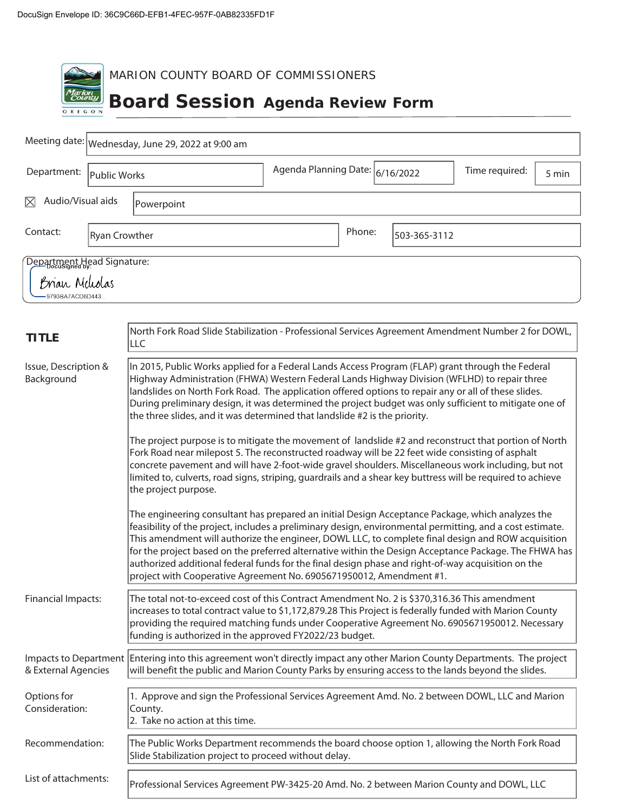| Iarion<br>County<br>OREGON                                                                                                                                                                                                                                                                                                                                                                                                                                                                                                              | MARION COUNTY BOARD OF COMMISSIONERS<br><b>Board Session Agenda Review Form</b>                                                                                                                                                                                                                                                                                                                                                                                                                                                                                                                           |                                 |        |              |                |       |
|-----------------------------------------------------------------------------------------------------------------------------------------------------------------------------------------------------------------------------------------------------------------------------------------------------------------------------------------------------------------------------------------------------------------------------------------------------------------------------------------------------------------------------------------|-----------------------------------------------------------------------------------------------------------------------------------------------------------------------------------------------------------------------------------------------------------------------------------------------------------------------------------------------------------------------------------------------------------------------------------------------------------------------------------------------------------------------------------------------------------------------------------------------------------|---------------------------------|--------|--------------|----------------|-------|
|                                                                                                                                                                                                                                                                                                                                                                                                                                                                                                                                         | Meeting date: Wednesday, June 29, 2022 at 9:00 am                                                                                                                                                                                                                                                                                                                                                                                                                                                                                                                                                         |                                 |        |              |                |       |
| Department:<br>Public Works                                                                                                                                                                                                                                                                                                                                                                                                                                                                                                             |                                                                                                                                                                                                                                                                                                                                                                                                                                                                                                                                                                                                           | Agenda Planning Date: 6/16/2022 |        |              | Time required: | 5 min |
| Audio/Visual aids<br>M                                                                                                                                                                                                                                                                                                                                                                                                                                                                                                                  | Powerpoint                                                                                                                                                                                                                                                                                                                                                                                                                                                                                                                                                                                                |                                 |        |              |                |       |
| Contact:<br><b>Ryan Crowther</b>                                                                                                                                                                                                                                                                                                                                                                                                                                                                                                        |                                                                                                                                                                                                                                                                                                                                                                                                                                                                                                                                                                                                           |                                 | Phone: | 503-365-3112 |                |       |
| Department Head Signature:<br>Brian Meliolas<br>9793BA7ACD6D443                                                                                                                                                                                                                                                                                                                                                                                                                                                                         |                                                                                                                                                                                                                                                                                                                                                                                                                                                                                                                                                                                                           |                                 |        |              |                |       |
| <b>TITLE</b>                                                                                                                                                                                                                                                                                                                                                                                                                                                                                                                            | North Fork Road Slide Stabilization - Professional Services Agreement Amendment Number 2 for DOWL,<br>LLC                                                                                                                                                                                                                                                                                                                                                                                                                                                                                                 |                                 |        |              |                |       |
| In 2015, Public Works applied for a Federal Lands Access Program (FLAP) grant through the Federal<br>Issue, Description &<br>Background<br>Highway Administration (FHWA) Western Federal Lands Highway Division (WFLHD) to repair three<br>landslides on North Fork Road. The application offered options to repair any or all of these slides.<br>During preliminary design, it was determined the project budget was only sufficient to mitigate one of<br>the three slides, and it was determined that landslide #2 is the priority. |                                                                                                                                                                                                                                                                                                                                                                                                                                                                                                                                                                                                           |                                 |        |              |                |       |
|                                                                                                                                                                                                                                                                                                                                                                                                                                                                                                                                         | The project purpose is to mitigate the movement of landslide #2 and reconstruct that portion of North<br>Fork Road near milepost 5. The reconstructed roadway will be 22 feet wide consisting of asphalt<br>concrete pavement and will have 2-foot-wide gravel shoulders. Miscellaneous work including, but not<br>limited to, culverts, road signs, striping, guardrails and a shear key buttress will be required to achieve<br>the project purpose.                                                                                                                                                    |                                 |        |              |                |       |
|                                                                                                                                                                                                                                                                                                                                                                                                                                                                                                                                         | The engineering consultant has prepared an initial Design Acceptance Package, which analyzes the<br>feasibility of the project, includes a preliminary design, environmental permitting, and a cost estimate.<br>This amendment will authorize the engineer, DOWL LLC, to complete final design and ROW acquisition<br>for the project based on the preferred alternative within the Design Acceptance Package. The FHWA has<br>authorized additional federal funds for the final design phase and right-of-way acquisition on the<br>project with Cooperative Agreement No. 6905671950012, Amendment #1. |                                 |        |              |                |       |
| <b>Financial Impacts:</b>                                                                                                                                                                                                                                                                                                                                                                                                                                                                                                               | The total not-to-exceed cost of this Contract Amendment No. 2 is \$370,316.36 This amendment<br>increases to total contract value to \$1,172,879.28 This Project is federally funded with Marion County<br>providing the required matching funds under Cooperative Agreement No. 6905671950012. Necessary<br>funding is authorized in the approved FY2022/23 budget.                                                                                                                                                                                                                                      |                                 |        |              |                |       |
| & External Agencies                                                                                                                                                                                                                                                                                                                                                                                                                                                                                                                     | Impacts to Department Entering into this agreement won't directly impact any other Marion County Departments. The project<br>will benefit the public and Marion County Parks by ensuring access to the lands beyond the slides.                                                                                                                                                                                                                                                                                                                                                                           |                                 |        |              |                |       |
| Options for<br>Consideration:                                                                                                                                                                                                                                                                                                                                                                                                                                                                                                           | 1. Approve and sign the Professional Services Agreement Amd. No. 2 between DOWL, LLC and Marion<br>County.<br>2. Take no action at this time.                                                                                                                                                                                                                                                                                                                                                                                                                                                             |                                 |        |              |                |       |
| Recommendation:                                                                                                                                                                                                                                                                                                                                                                                                                                                                                                                         | The Public Works Department recommends the board choose option 1, allowing the North Fork Road<br>Slide Stabilization project to proceed without delay.                                                                                                                                                                                                                                                                                                                                                                                                                                                   |                                 |        |              |                |       |
| List of attachments:                                                                                                                                                                                                                                                                                                                                                                                                                                                                                                                    | Professional Services Agreement PW-3425-20 Amd. No. 2 between Marion County and DOWL, LLC                                                                                                                                                                                                                                                                                                                                                                                                                                                                                                                 |                                 |        |              |                |       |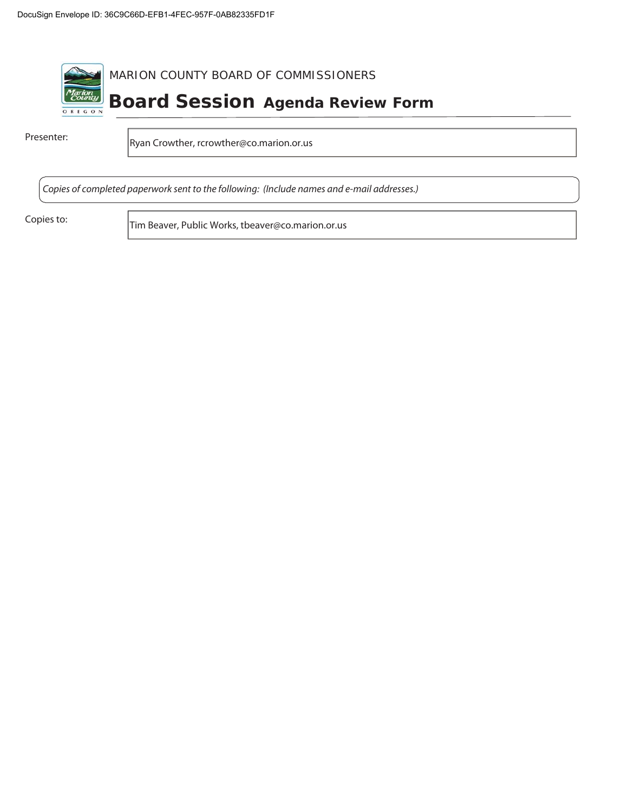

Presenter: Ryan Crowther, rcrowther@co.marion.or.us

Copies of completed paperwork sent to the following: (Include names and e-mail addresses.)

Copies to: Tim Beaver, Public Works, tbeaver@co.marion.or.us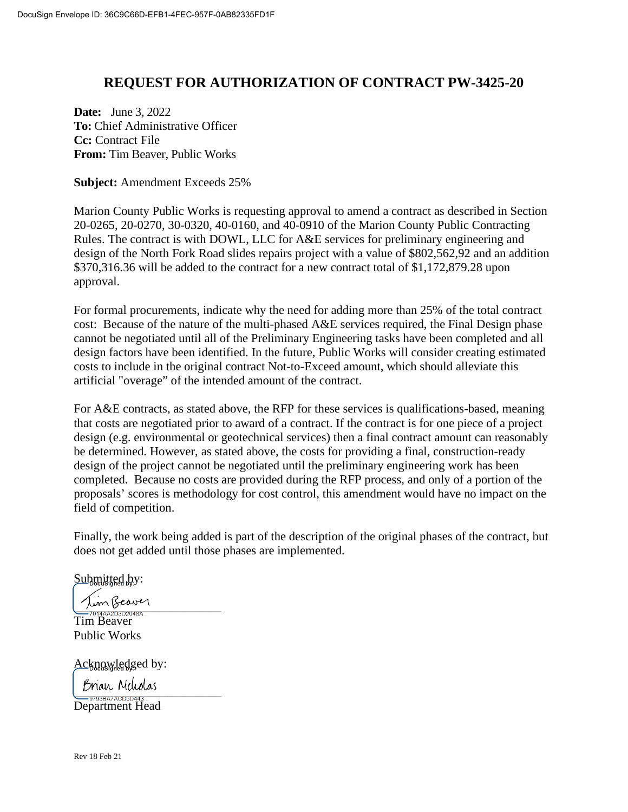# **REQUEST FOR AUTHORIZATION OF CONTRACT PW-3425-20**

**Date:** June 3, 2022 **To:** Chief Administrative Officer **Cc:** Contract File **From:** Tim Beaver, Public Works

**Subject:** Amendment Exceeds 25%

Marion County Public Works is requesting approval to amend a contract as described in Section 20-0265, 20-0270, 30-0320, 40-0160, and 40-0910 of the Marion County Public Contracting Rules. The contract is with DOWL, LLC for A&E services for preliminary engineering and design of the North Fork Road slides repairs project with a value of \$802,562,92 and an addition \$370,316.36 will be added to the contract for a new contract total of \$1,172,879.28 upon approval.

For formal procurements, indicate why the need for adding more than 25% of the total contract cost: Because of the nature of the multi-phased A&E services required, the Final Design phase cannot be negotiated until all of the Preliminary Engineering tasks have been completed and all design factors have been identified. In the future, Public Works will consider creating estimated costs to include in the original contract Not-to-Exceed amount, which should alleviate this artificial "overage" of the intended amount of the contract.

For A&E contracts, as stated above, the RFP for these services is qualifications-based, meaning that costs are negotiated prior to award of a contract. If the contract is for one piece of a project design (e.g. environmental or geotechnical services) then a final contract amount can reasonably be determined. However, as stated above, the costs for providing a final, construction-ready design of the project cannot be negotiated until the preliminary engineering work has been completed. Because no costs are provided during the RFP process, and only of a portion of the proposals' scores is methodology for cost control, this amendment would have no impact on the field of competition.

Finally, the work being added is part of the description of the original phases of the contract, but does not get added until those phases are implemented.

Submitted by:

 $\lim$  Beaver

Tim Beaver Public Works

Acknowledged by:

Brian Meliolas<br><del>\_\_\_\_\_\_\_\_\_\_\_\_\_\_\_\_\_\_\_</del>

Department Head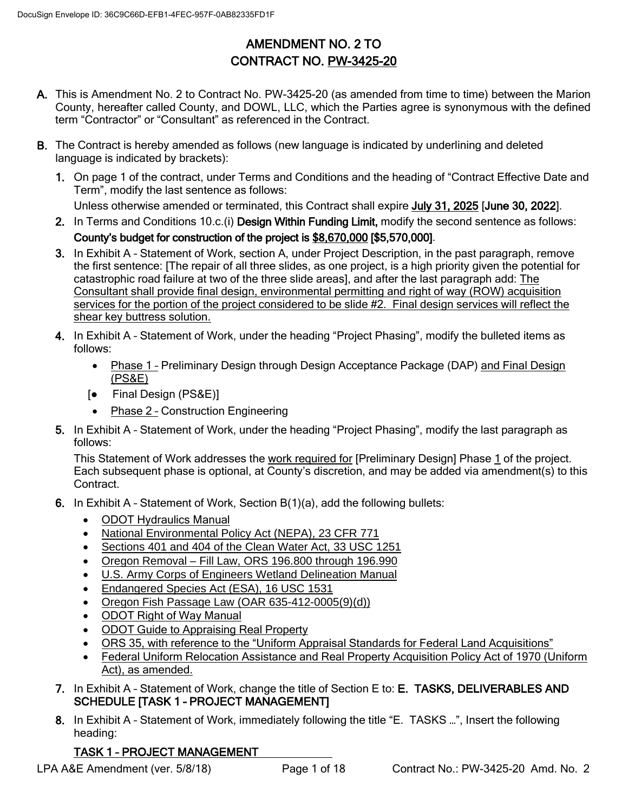# AMENDMENT NO. 2 TO CONTRACT NO. PW-3425-20

- A. This is Amendment No. 2 to Contract No. PW-3425-20 (as amended from time to time) between the Marion County, hereafter called County, and DOWL, LLC, which the Parties agree is synonymous with the defined term "Contractor" or "Consultant" as referenced in the Contract.
- B. The Contract is hereby amended as follows (new language is indicated by underlining and deleted language is indicated by brackets):
	- 1. On page 1 of the contract, under Terms and Conditions and the heading of "Contract Effective Date and Term", modify the last sentence as follows:

Unless otherwise amended or terminated, this Contract shall expire July 31, 2025 [June 30, 2022].

- 2. In Terms and Conditions 10.c.(i) Design Within Funding Limit, modify the second sentence as follows: County's budget for construction of the project is \$8,670,000 [\$5,570,000].
- 3. In Exhibit A Statement of Work, section A, under Project Description, in the past paragraph, remove the first sentence: [The repair of all three slides, as one project, is a high priority given the potential for catastrophic road failure at two of the three slide areas], and after the last paragraph add: The Consultant shall provide final design, environmental permitting and right of way (ROW) acquisition services for the portion of the project considered to be slide #2. Final design services will reflect the shear key buttress solution.
- 4. In Exhibit A Statement of Work, under the heading "Project Phasing", modify the bulleted items as follows:
	- Phase 1 Preliminary Design through Design Acceptance Package (DAP) and Final Design (PS&E)
	- [● Final Design (PS&E)]
	- Phase 2 Construction Engineering
- 5. In Exhibit A Statement of Work, under the heading "Project Phasing", modify the last paragraph as follows:

This Statement of Work addresses the work required for [Preliminary Design] Phase 1 of the project. Each subsequent phase is optional, at County's discretion, and may be added via amendment(s) to this Contract.

- 6. In Exhibit A Statement of Work, Section B(1)(a), add the following bullets:
	- ODOT Hydraulics Manual
	- National Environmental Policy Act (NEPA), 23 CFR 771
	- Sections 401 and 404 of the Clean Water Act, 33 USC 1251
	- Oregon Removal Fill Law, ORS 196.800 through 196.990
	- **U.S. Army Corps of Engineers Wetland Delineation Manual**
	- Endangered Species Act (ESA), 16 USC 1531
	- Oregon Fish Passage Law (OAR 635-412-0005(9)(d))
	- ODOT Right of Way Manual
	- ODOT Guide to Appraising Real Property
	- ORS 35, with reference to the "Uniform Appraisal Standards for Federal Land Acquisitions"
	- Federal Uniform Relocation Assistance and Real Property Acquisition Policy Act of 1970 (Uniform Act), as amended.
- 7. In Exhibit A Statement of Work, change the title of Section E to: E. TASKS, DELIVERABLES AND SCHEDULE [TASK 1 - PROJECT MANAGEMENT]
- 8. In Exhibit A Statement of Work, immediately following the title "E. TASKS ...", Insert the following heading:

# TASK 1 – PROJECT MANAGEMENT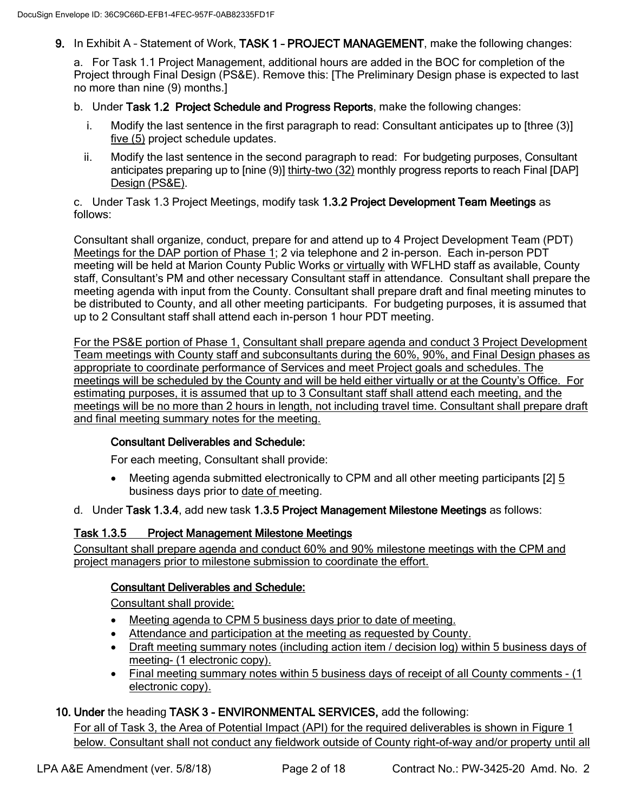9. In Exhibit A - Statement of Work, TASK 1 - PROJECT MANAGEMENT, make the following changes:

a. For Task 1.1 Project Management, additional hours are added in the BOC for completion of the Project through Final Design (PS&E). Remove this: [The Preliminary Design phase is expected to last no more than nine (9) months.]

- b. Under Task 1.2 Project Schedule and Progress Reports, make the following changes:
	- i. Modify the last sentence in the first paragraph to read: Consultant anticipates up to [three (3)] five (5) project schedule updates.
	- ii. Modify the last sentence in the second paragraph to read: For budgeting purposes, Consultant anticipates preparing up to [nine (9)] thirty-two (32) monthly progress reports to reach Final [DAP] Design (PS&E).

c. Under Task 1.3 Project Meetings, modify task 1.3.2 Project Development Team Meetings as follows:

Consultant shall organize, conduct, prepare for and attend up to 4 Project Development Team (PDT) Meetings for the DAP portion of Phase 1; 2 via telephone and 2 in-person. Each in-person PDT meeting will be held at Marion County Public Works or virtually with WFLHD staff as available, County staff, Consultant's PM and other necessary Consultant staff in attendance. Consultant shall prepare the meeting agenda with input from the County. Consultant shall prepare draft and final meeting minutes to be distributed to County, and all other meeting participants. For budgeting purposes, it is assumed that up to 2 Consultant staff shall attend each in-person 1 hour PDT meeting.

For the PS&E portion of Phase 1, Consultant shall prepare agenda and conduct 3 Project Development Team meetings with County staff and subconsultants during the 60%, 90%, and Final Design phases as appropriate to coordinate performance of Services and meet Project goals and schedules. The meetings will be scheduled by the County and will be held either virtually or at the County's Office. For estimating purposes, it is assumed that up to 3 Consultant staff shall attend each meeting, and the meetings will be no more than 2 hours in length, not including travel time. Consultant shall prepare draft and final meeting summary notes for the meeting.

#### Consultant Deliverables and Schedule:

For each meeting, Consultant shall provide:

- Meeting agenda submitted electronically to CPM and all other meeting participants [2] 5 business days prior to date of meeting.
- d. Under Task 1.3.4, add new task 1.3.5 Project Management Milestone Meetings as follows:

### Task 1.3.5 Project Management Milestone Meetings

Consultant shall prepare agenda and conduct 60% and 90% milestone meetings with the CPM and project managers prior to milestone submission to coordinate the effort.

### Consultant Deliverables and Schedule:

Consultant shall provide:

- Meeting agenda to CPM 5 business days prior to date of meeting.
- Attendance and participation at the meeting as requested by County.
- Draft meeting summary notes (including action item / decision log) within 5 business days of meeting- (1 electronic copy).
- Final meeting summary notes within 5 business days of receipt of all County comments (1 electronic copy).

### 10. Under the heading TASK 3 - ENVIRONMENTAL SERVICES, add the following:

For all of Task 3, the Area of Potential Impact (API) for the required deliverables is shown in Figure 1 below. Consultant shall not conduct any fieldwork outside of County right-of-way and/or property until all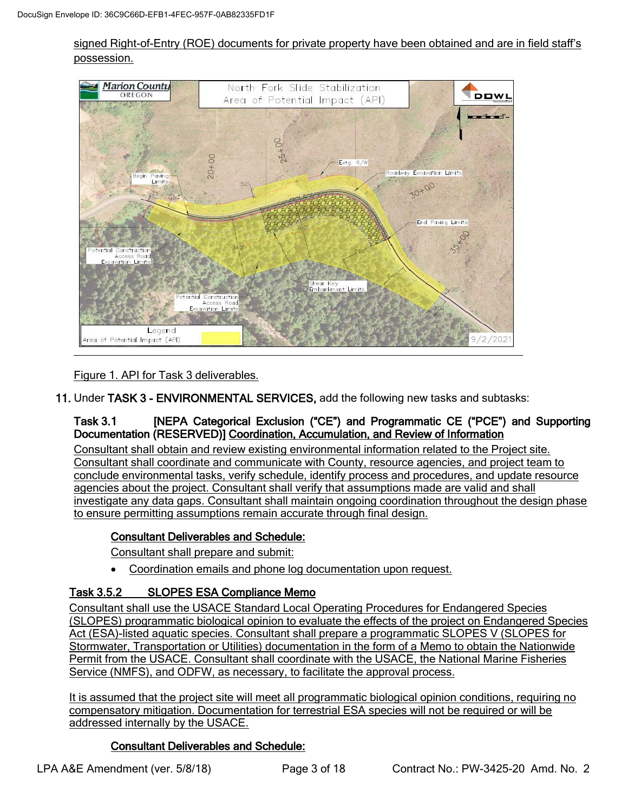### signed Right-of-Entry (ROE) documents for private property have been obtained and are in field staff's possession.



Figure 1. API for Task 3 deliverables.

11. Under TASK 3 - ENVIRONMENTAL SERVICES, add the following new tasks and subtasks:

### Task 3.1 [NEPA Categorical Exclusion ("CE") and Programmatic CE ("PCE") and Supporting Documentation (RESERVED)] Coordination, Accumulation, and Review of Information

Consultant shall obtain and review existing environmental information related to the Project site. Consultant shall coordinate and communicate with County, resource agencies, and project team to conclude environmental tasks, verify schedule, identify process and procedures, and update resource agencies about the project. Consultant shall verify that assumptions made are valid and shall investigate any data gaps. Consultant shall maintain ongoing coordination throughout the design phase to ensure permitting assumptions remain accurate through final design.

# Consultant Deliverables and Schedule:

Consultant shall prepare and submit:

• Coordination emails and phone log documentation upon request.

### Task 3.5.2 SLOPES ESA Compliance Memo

Consultant shall use the USACE Standard Local Operating Procedures for Endangered Species (SLOPES) programmatic biological opinion to evaluate the effects of the project on Endangered Species Act (ESA)-listed aquatic species. Consultant shall prepare a programmatic SLOPES V (SLOPES for Stormwater, Transportation or Utilities) documentation in the form of a Memo to obtain the Nationwide Permit from the USACE. Consultant shall coordinate with the USACE, the National Marine Fisheries Service (NMFS), and ODFW, as necessary, to facilitate the approval process.

It is assumed that the project site will meet all programmatic biological opinion conditions, requiring no compensatory mitigation. Documentation for terrestrial ESA species will not be required or will be addressed internally by the USACE.

### Consultant Deliverables and Schedule: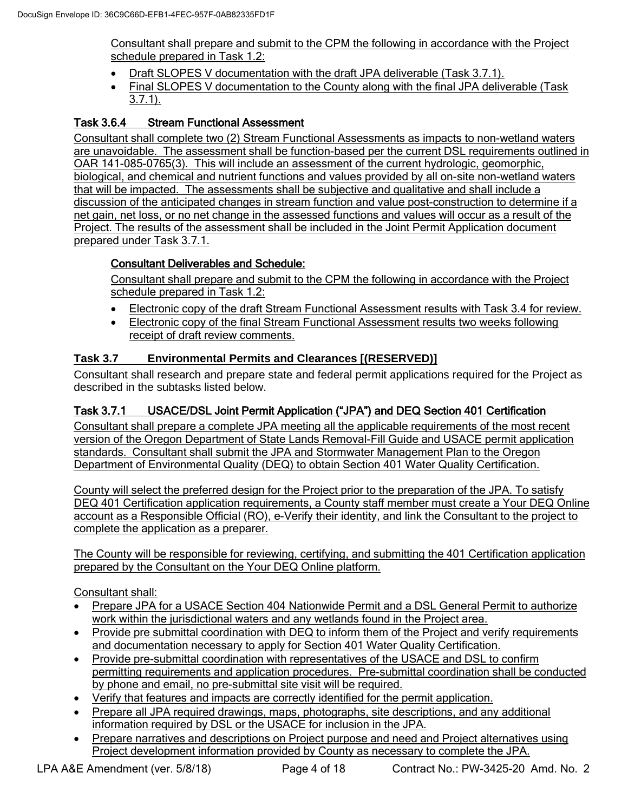Consultant shall prepare and submit to the CPM the following in accordance with the Project schedule prepared in Task 1.2:

- Draft SLOPES V documentation with the draft JPA deliverable (Task 3.7.1).
- Final SLOPES V documentation to the County along with the final JPA deliverable (Task 3.7.1).

# Task 3.6.4 Stream Functional Assessment

Consultant shall complete two (2) Stream Functional Assessments as impacts to non-wetland waters are unavoidable. The assessment shall be function-based per the current DSL requirements outlined in OAR 141-085-0765(3). This will include an assessment of the current hydrologic, geomorphic, biological, and chemical and nutrient functions and values provided by all on-site non-wetland waters that will be impacted. The assessments shall be subjective and qualitative and shall include a discussion of the anticipated changes in stream function and value post-construction to determine if a net gain, net loss, or no net change in the assessed functions and values will occur as a result of the Project. The results of the assessment shall be included in the Joint Permit Application document prepared under Task 3.7.1.

# Consultant Deliverables and Schedule:

Consultant shall prepare and submit to the CPM the following in accordance with the Project schedule prepared in Task 1.2:

- Electronic copy of the draft Stream Functional Assessment results with Task 3.4 for review.
- Electronic copy of the final Stream Functional Assessment results two weeks following receipt of draft review comments.

### **Task 3.7 Environmental Permits and Clearances [(RESERVED)]**

Consultant shall research and prepare state and federal permit applications required for the Project as described in the subtasks listed below.

# Task 3.7.1 USACE/DSL Joint Permit Application ("JPA") and DEQ Section 401 Certification

Consultant shall prepare a complete JPA meeting all the applicable requirements of the most recent version of the Oregon Department of State Lands Removal-Fill Guide and USACE permit application standards. Consultant shall submit the JPA and Stormwater Management Plan to the Oregon Department of Environmental Quality (DEQ) to obtain Section 401 Water Quality Certification.

County will select the preferred design for the Project prior to the preparation of the JPA. To satisfy DEQ 401 Certification application requirements, a County staff member must create a Your DEQ Online account as a Responsible Official (RO), e-Verify their identity, and link the Consultant to the project to complete the application as a preparer.

The County will be responsible for reviewing, certifying, and submitting the 401 Certification application prepared by the Consultant on the Your DEQ Online platform.

Consultant shall:

- Prepare JPA for a USACE Section 404 Nationwide Permit and a DSL General Permit to authorize work within the jurisdictional waters and any wetlands found in the Project area.
- Provide pre submittal coordination with DEQ to inform them of the Project and verify requirements and documentation necessary to apply for Section 401 Water Quality Certification.
- Provide pre-submittal coordination with representatives of the USACE and DSL to confirm permitting requirements and application procedures. Pre-submittal coordination shall be conducted by phone and email, no pre-submittal site visit will be required.
- Verify that features and impacts are correctly identified for the permit application.
- Prepare all JPA required drawings, maps, photographs, site descriptions, and any additional information required by DSL or the USACE for inclusion in the JPA.
- Prepare narratives and descriptions on Project purpose and need and Project alternatives using Project development information provided by County as necessary to complete the JPA.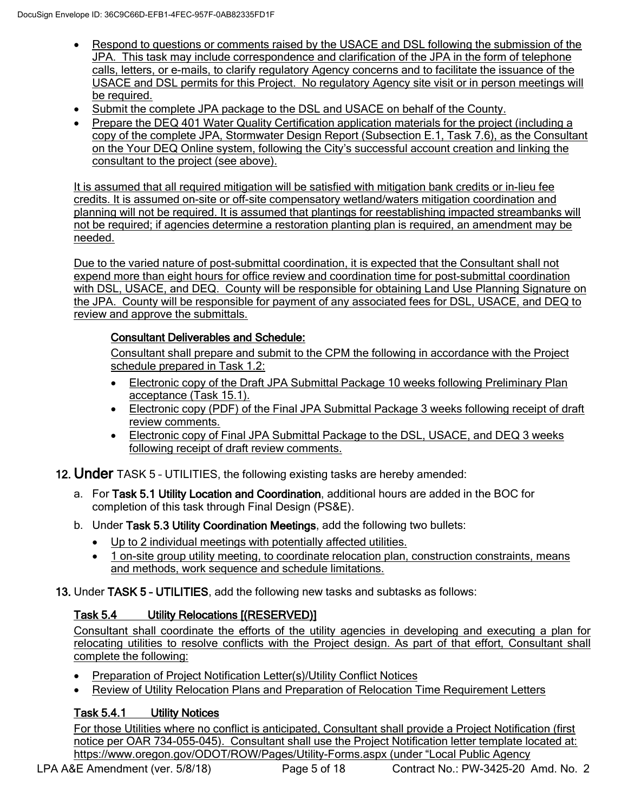- Respond to questions or comments raised by the USACE and DSL following the submission of the JPA. This task may include correspondence and clarification of the JPA in the form of telephone calls, letters, or e-mails, to clarify regulatory Agency concerns and to facilitate the issuance of the USACE and DSL permits for this Project. No regulatory Agency site visit or in person meetings will be required.
- Submit the complete JPA package to the DSL and USACE on behalf of the County.
- Prepare the DEQ 401 Water Quality Certification application materials for the project (including a copy of the complete JPA, Stormwater Design Report (Subsection E.1, Task 7.6), as the Consultant on the Your DEQ Online system, following the City's successful account creation and linking the consultant to the project (see above).

It is assumed that all required mitigation will be satisfied with mitigation bank credits or in-lieu fee credits. It is assumed on-site or off-site compensatory wetland/waters mitigation coordination and planning will not be required. It is assumed that plantings for reestablishing impacted streambanks will not be required; if agencies determine a restoration planting plan is required, an amendment may be needed.

Due to the varied nature of post-submittal coordination, it is expected that the Consultant shall not expend more than eight hours for office review and coordination time for post-submittal coordination with DSL, USACE, and DEQ. County will be responsible for obtaining Land Use Planning Signature on the JPA. County will be responsible for payment of any associated fees for DSL, USACE, and DEQ to review and approve the submittals.

### Consultant Deliverables and Schedule:

Consultant shall prepare and submit to the CPM the following in accordance with the Project schedule prepared in Task 1.2:

- Electronic copy of the Draft JPA Submittal Package 10 weeks following Preliminary Plan acceptance (Task 15.1).
- Electronic copy (PDF) of the Final JPA Submittal Package 3 weeks following receipt of draft review comments.
- Electronic copy of Final JPA Submittal Package to the DSL, USACE, and DEQ 3 weeks following receipt of draft review comments.

12. Under TASK 5 - UTILITIES, the following existing tasks are hereby amended:

- a. For Task 5.1 Utility Location and Coordination, additional hours are added in the BOC for completion of this task through Final Design (PS&E).
- b. Under Task 5.3 Utility Coordination Meetings, add the following two bullets:
	- Up to 2 individual meetings with potentially affected utilities.
	- 1 on-site group utility meeting, to coordinate relocation plan, construction constraints, means and methods, work sequence and schedule limitations.

13. Under TASK 5 – UTILITIES, add the following new tasks and subtasks as follows:

# Task 5.4 Utility Relocations [(RESERVED)]

Consultant shall coordinate the efforts of the utility agencies in developing and executing a plan for relocating utilities to resolve conflicts with the Project design. As part of that effort, Consultant shall complete the following:

- Preparation of Project Notification Letter(s)/Utility Conflict Notices
- Review of Utility Relocation Plans and Preparation of Relocation Time Requirement Letters

# Task 5.4.1 Utility Notices

For those Utilities where no conflict is anticipated, Consultant shall provide a Project Notification (first notice per OAR 734-055-045). Consultant shall use the Project Notification letter template located at: <https://www.oregon.gov/ODOT/ROW/Pages/Utility-Forms.aspx> (under "Local Public Agency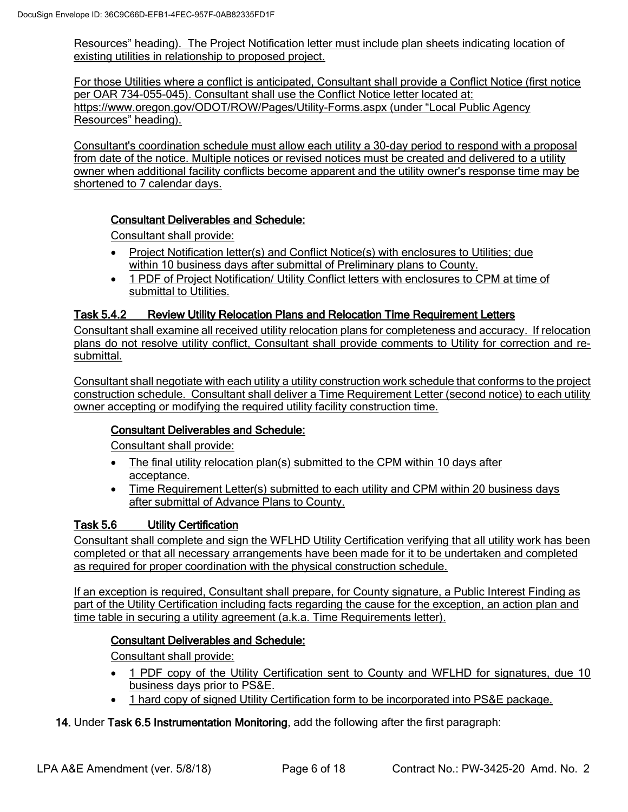Resources" heading). The Project Notification letter must include plan sheets indicating location of existing utilities in relationship to proposed project.

For those Utilities where a conflict is anticipated, Consultant shall provide a Conflict Notice (first notice per OAR 734-055-045). Consultant shall use the Conflict Notice letter located at: <https://www.oregon.gov/ODOT/ROW/Pages/Utility-Forms.aspx> (under "Local Public Agency Resources" heading).

Consultant's coordination schedule must allow each utility a 30-day period to respond with a proposal from date of the notice. Multiple notices or revised notices must be created and delivered to a utility owner when additional facility conflicts become apparent and the utility owner's response time may be shortened to 7 calendar days.

### Consultant Deliverables and Schedule:

Consultant shall provide:

- Project Notification letter(s) and Conflict Notice(s) with enclosures to Utilities; due within 10 business days after submittal of Preliminary plans to County.
- 1 PDF of Project Notification/ Utility Conflict letters with enclosures to CPM at time of submittal to Utilities.

### Task 5.4.2 Review Utility Relocation Plans and Relocation Time Requirement Letters

Consultant shall examine all received utility relocation plans for completeness and accuracy. If relocation plans do not resolve utility conflict, Consultant shall provide comments to Utility for correction and resubmittal.

Consultant shall negotiate with each utility a utility construction work schedule that conforms to the project construction schedule. Consultant shall deliver a Time Requirement Letter (second notice) to each utility owner accepting or modifying the required utility facility construction time.

### Consultant Deliverables and Schedule:

Consultant shall provide:

- The final utility relocation plan(s) submitted to the CPM within 10 days after acceptance.
- Time Requirement Letter(s) submitted to each utility and CPM within 20 business days after submittal of Advance Plans to County.

### Task 5.6 Utility Certification

Consultant shall complete and sign the WFLHD Utility Certification verifying that all utility work has been completed or that all necessary arrangements have been made for it to be undertaken and completed as required for proper coordination with the physical construction schedule.

If an exception is required, Consultant shall prepare, for County signature, a Public Interest Finding as part of the Utility Certification including facts regarding the cause for the exception, an action plan and time table in securing a utility agreement (a.k.a. Time Requirements letter).

### Consultant Deliverables and Schedule:

Consultant shall provide:

- 1 PDF copy of the Utility Certification sent to County and WFLHD for signatures, due 10 business days prior to PS&E.
- 1 hard copy of signed Utility Certification form to be incorporated into PS&E package.

### 14. Under Task 6.5 Instrumentation Monitoring, add the following after the first paragraph: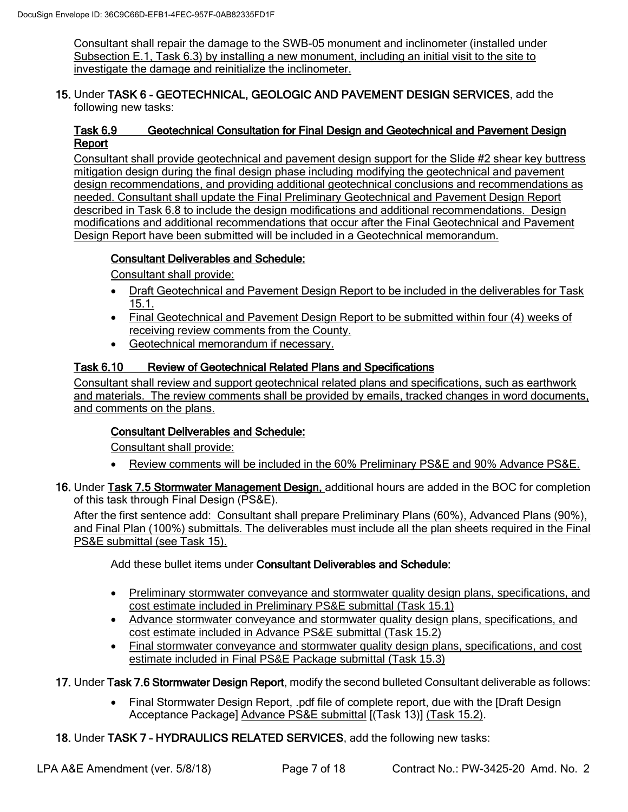Consultant shall repair the damage to the SWB-05 monument and inclinometer (installed under Subsection E.1, Task 6.3) by installing a new monument, including an initial visit to the site to investigate the damage and reinitialize the inclinometer.

#### 15. Under TASK 6 - GEOTECHNICAL, GEOLOGIC AND PAVEMENT DESIGN SERVICES, add the following new tasks:

### Task 6.9 Geotechnical Consultation for Final Design and Geotechnical and Pavement Design Report

Consultant shall provide geotechnical and pavement design support for the Slide #2 shear key buttress mitigation design during the final design phase including modifying the geotechnical and pavement design recommendations, and providing additional geotechnical conclusions and recommendations as needed. Consultant shall update the Final Preliminary Geotechnical and Pavement Design Report described in Task 6.8 to include the design modifications and additional recommendations. Design modifications and additional recommendations that occur after the Final Geotechnical and Pavement Design Report have been submitted will be included in a Geotechnical memorandum.

# Consultant Deliverables and Schedule:

Consultant shall provide:

- Draft Geotechnical and Pavement Design Report to be included in the deliverables for Task 15.1.
- Final Geotechnical and Pavement Design Report to be submitted within four (4) weeks of receiving review comments from the County.
- Geotechnical memorandum if necessary.

### Task 6.10 Review of Geotechnical Related Plans and Specifications

Consultant shall review and support geotechnical related plans and specifications, such as earthwork and materials. The review comments shall be provided by emails, tracked changes in word documents, and comments on the plans.

# Consultant Deliverables and Schedule:

Consultant shall provide:

- Review comments will be included in the 60% Preliminary PS&E and 90% Advance PS&E.
- 16. Under Task 7.5 Stormwater Management Design, additional hours are added in the BOC for completion of this task through Final Design (PS&E).

After the first sentence add: Consultant shall prepare Preliminary Plans (60%), Advanced Plans (90%), and Final Plan (100%) submittals. The deliverables must include all the plan sheets required in the Final PS&E submittal (see Task 15).

Add these bullet items under Consultant Deliverables and Schedule:

- Preliminary stormwater conveyance and stormwater quality design plans, specifications, and cost estimate included in Preliminary PS&E submittal (Task 15.1)
- Advance stormwater conveyance and stormwater quality design plans, specifications, and cost estimate included in Advance PS&E submittal (Task 15.2)
- Final stormwater conveyance and stormwater quality design plans, specifications, and cost estimate included in Final PS&E Package submittal (Task 15.3)
- 17. Under Task 7.6 Stormwater Design Report, modify the second bulleted Consultant deliverable as follows:
	- Final Stormwater Design Report, .pdf file of complete report, due with the [Draft Design Acceptance Package] Advance PS&E submittal [(Task 13)] (Task 15.2).

18. Under TASK 7 – HYDRAULICS RELATED SERVICES, add the following new tasks: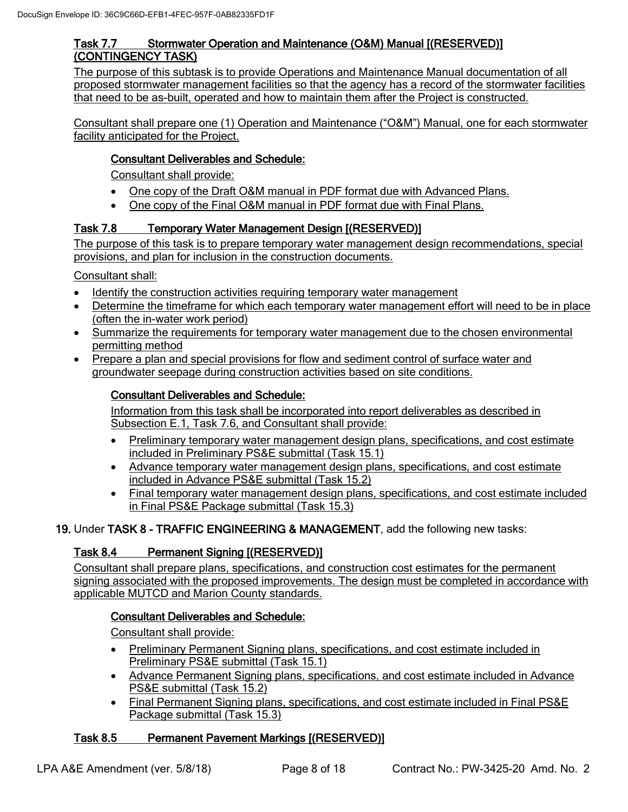### Task 7.7 Stormwater Operation and Maintenance (O&M) Manual [(RESERVED)] (CONTINGENCY TASK)

The purpose of this subtask is to provide Operations and Maintenance Manual documentation of all proposed stormwater management facilities so that the agency has a record of the stormwater facilities that need to be as-built, operated and how to maintain them after the Project is constructed.

Consultant shall prepare one (1) Operation and Maintenance ("O&M") Manual, one for each stormwater facility anticipated for the Project.

### Consultant Deliverables and Schedule:

Consultant shall provide:

- One copy of the Draft O&M manual in PDF format due with Advanced Plans.
- One copy of the Final O&M manual in PDF format due with Final Plans.

### Task 7.8 Temporary Water Management Design [(RESERVED)]

The purpose of this task is to prepare temporary water management design recommendations, special provisions, and plan for inclusion in the construction documents.

Consultant shall:

- Identify the construction activities requiring temporary water management
- Determine the timeframe for which each temporary water management effort will need to be in place (often the in-water work period)
- Summarize the requirements for temporary water management due to the chosen environmental permitting method
- Prepare a plan and special provisions for flow and sediment control of surface water and groundwater seepage during construction activities based on site conditions.

### Consultant Deliverables and Schedule:

Information from this task shall be incorporated into report deliverables as described in Subsection E.1, Task 7.6, and Consultant shall provide:

- Preliminary temporary water management design plans, specifications, and cost estimate included in Preliminary PS&E submittal (Task 15.1)
- Advance temporary water management design plans, specifications, and cost estimate included in Advance PS&E submittal (Task 15.2)
- Final temporary water management design plans, specifications, and cost estimate included in Final PS&E Package submittal (Task 15.3)

### 19. Under TASK 8 - TRAFFIC ENGINEERING & MANAGEMENT, add the following new tasks:

### Task 8.4 Permanent Signing [(RESERVED)]

Consultant shall prepare plans, specifications, and construction cost estimates for the permanent signing associated with the proposed improvements. The design must be completed in accordance with applicable MUTCD and Marion County standards.

### Consultant Deliverables and Schedule:

Consultant shall provide:

- Preliminary Permanent Signing plans, specifications, and cost estimate included in Preliminary PS&E submittal (Task 15.1)
- Advance Permanent Signing plans, specifications, and cost estimate included in Advance PS&E submittal (Task 15.2)
- Final Permanent Signing plans, specifications, and cost estimate included in Final PS&E Package submittal (Task 15.3)

# Task 8.5 Permanent Pavement Markings [(RESERVED)]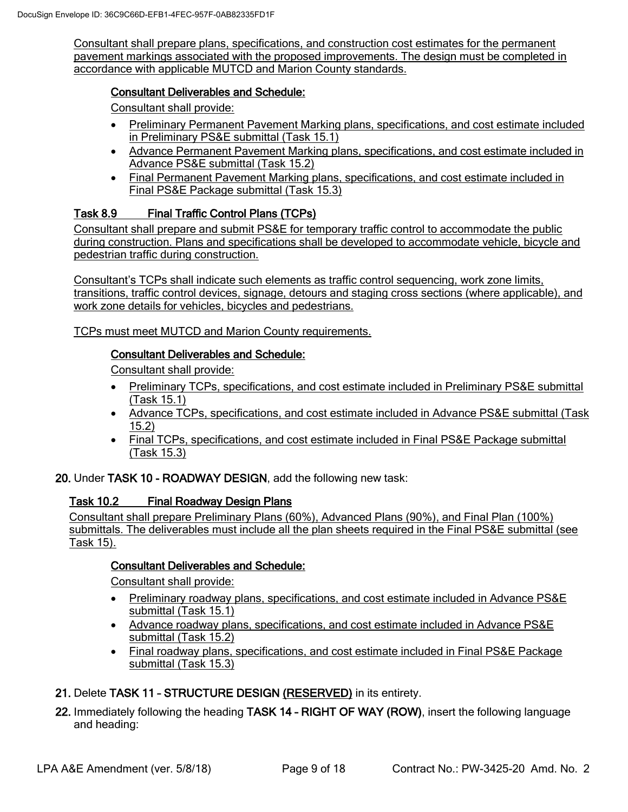Consultant shall prepare plans, specifications, and construction cost estimates for the permanent pavement markings associated with the proposed improvements. The design must be completed in accordance with applicable MUTCD and Marion County standards.

### Consultant Deliverables and Schedule:

Consultant shall provide:

- Preliminary Permanent Pavement Marking plans, specifications, and cost estimate included in Preliminary PS&E submittal (Task 15.1)
- Advance Permanent Pavement Marking plans, specifications, and cost estimate included in Advance PS&E submittal (Task 15.2)
- Final Permanent Pavement Marking plans, specifications, and cost estimate included in Final PS&E Package submittal (Task 15.3)

# Task 8.9 Final Traffic Control Plans (TCPs)

Consultant shall prepare and submit PS&E for temporary traffic control to accommodate the public during construction. Plans and specifications shall be developed to accommodate vehicle, bicycle and pedestrian traffic during construction.

Consultant's TCPs shall indicate such elements as traffic control sequencing, work zone limits, transitions, traffic control devices, signage, detours and staging cross sections (where applicable), and work zone details for vehicles, bicycles and pedestrians.

TCPs must meet MUTCD and Marion County requirements.

### Consultant Deliverables and Schedule:

Consultant shall provide:

- Preliminary TCPs, specifications, and cost estimate included in Preliminary PS&E submittal (Task 15.1)
- Advance TCPs, specifications, and cost estimate included in Advance PS&E submittal (Task 15.2)
- Final TCPs, specifications, and cost estimate included in Final PS&E Package submittal (Task 15.3)

20. Under TASK 10 - ROADWAY DESIGN, add the following new task:

### Task 10.2 Final Roadway Design Plans

Consultant shall prepare Preliminary Plans (60%), Advanced Plans (90%), and Final Plan (100%) submittals. The deliverables must include all the plan sheets required in the Final PS&E submittal (see Task 15).

### Consultant Deliverables and Schedule:

Consultant shall provide:

- Preliminary roadway plans, specifications, and cost estimate included in Advance PS&E submittal (Task 15.1)
- Advance roadway plans, specifications, and cost estimate included in Advance PS&E submittal (Task 15.2)
- Final roadway plans, specifications, and cost estimate included in Final PS&E Package submittal (Task 15.3)
- 21. Delete TASK 11 STRUCTURE DESIGN (RESERVED) in its entirety.
- 22. Immediately following the heading TASK 14 RIGHT OF WAY (ROW), insert the following language and heading: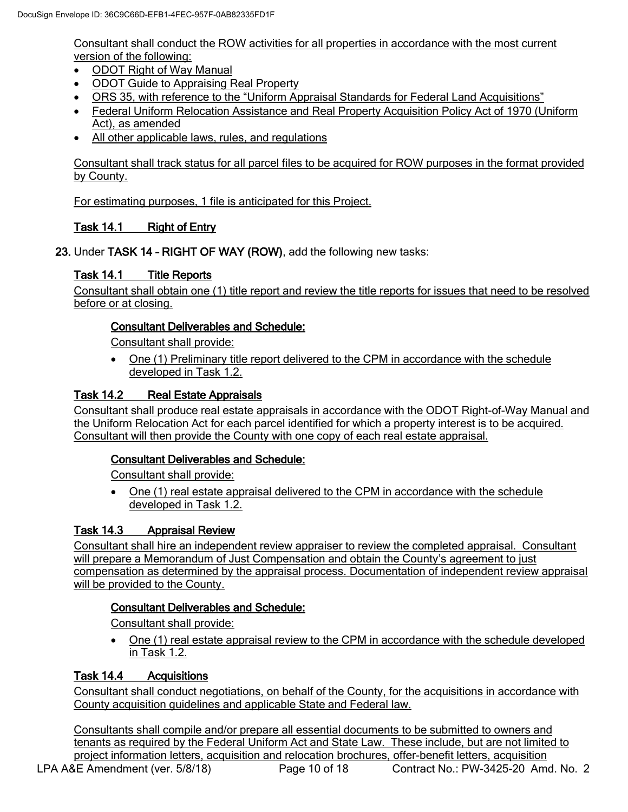Consultant shall conduct the ROW activities for all properties in accordance with the most current version of the following:

- ODOT Right of Way Manual
- ODOT Guide to Appraising Real Property
- ORS 35, with reference to the "Uniform Appraisal Standards for Federal Land Acquisitions"
- Federal Uniform Relocation Assistance and Real Property Acquisition Policy Act of 1970 (Uniform Act), as amended
- All other applicable laws, rules, and regulations

Consultant shall track status for all parcel files to be acquired for ROW purposes in the format provided by County.

For estimating purposes, 1 file is anticipated for this Project.

# Task 14.1 Right of Entry

23. Under TASK 14 – RIGHT OF WAY (ROW), add the following new tasks:

### Task 14.1 Title Reports

Consultant shall obtain one (1) title report and review the title reports for issues that need to be resolved before or at closing.

### Consultant Deliverables and Schedule:

Consultant shall provide:

• One (1) Preliminary title report delivered to the CPM in accordance with the schedule developed in Task 1.2.

### Task 14.2 Real Estate Appraisals

Consultant shall produce real estate appraisals in accordance with the ODOT Right-of-Way Manual and the Uniform Relocation Act for each parcel identified for which a property interest is to be acquired. Consultant will then provide the County with one copy of each real estate appraisal.

### Consultant Deliverables and Schedule:

Consultant shall provide:

• One (1) real estate appraisal delivered to the CPM in accordance with the schedule developed in Task 1.2.

### Task 14.3 Appraisal Review

Consultant shall hire an independent review appraiser to review the completed appraisal. Consultant will prepare a Memorandum of Just Compensation and obtain the County's agreement to just compensation as determined by the appraisal process. Documentation of independent review appraisal will be provided to the County.

### Consultant Deliverables and Schedule:

Consultant shall provide:

• One (1) real estate appraisal review to the CPM in accordance with the schedule developed in Task 1.2.

### Task 14.4 Acquisitions

Consultant shall conduct negotiations, on behalf of the County, for the acquisitions in accordance with County acquisition guidelines and applicable State and Federal law.

LPA A&E Amendment (ver. 5/8/18) Page 10 of 18 Contract No.: PW-3425-20 Amd. No. 2 Consultants shall compile and/or prepare all essential documents to be submitted to owners and tenants as required by the Federal Uniform Act and State Law. These include, but are not limited to project information letters, acquisition and relocation brochures, offer-benefit letters, acquisition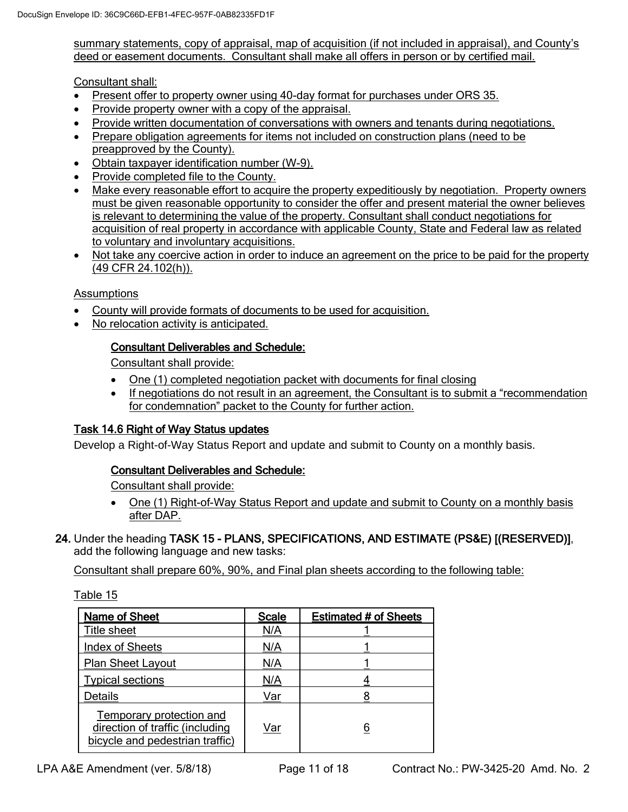summary statements, copy of appraisal, map of acquisition (if not included in appraisal), and County's deed or easement documents. Consultant shall make all offers in person or by certified mail.

Consultant shall:

- Present offer to property owner using 40-day format for purchases under ORS 35.
- Provide property owner with a copy of the appraisal.
- Provide written documentation of conversations with owners and tenants during negotiations.
- Prepare obligation agreements for items not included on construction plans (need to be preapproved by the County).
- Obtain taxpayer identification number (W-9).
- Provide completed file to the County.
- Make every reasonable effort to acquire the property expeditiously by negotiation. Property owners must be given reasonable opportunity to consider the offer and present material the owner believes is relevant to determining the value of the property. Consultant shall conduct negotiations for acquisition of real property in accordance with applicable County, State and Federal law as related to voluntary and involuntary acquisitions.
- Not take any coercive action in order to induce an agreement on the price to be paid for the property (49 CFR 24.102(h)).

### **Assumptions**

- County will provide formats of documents to be used for acquisition.
- No relocation activity is anticipated.

### Consultant Deliverables and Schedule:

Consultant shall provide:

- One (1) completed negotiation packet with documents for final closing
- If negotiations do not result in an agreement, the Consultant is to submit a "recommendation for condemnation" packet to the County for further action.

### Task 14.6 Right of Way Status updates

Develop a Right-of-Way Status Report and update and submit to County on a monthly basis.

### Consultant Deliverables and Schedule:

Consultant shall provide:

- One (1) Right-of-Way Status Report and update and submit to County on a monthly basis after DAP.
- 24. Under the heading TASK 15 PLANS, SPECIFICATIONS, AND ESTIMATE (PS&E) [(RESERVED)], add the following language and new tasks:

Consultant shall prepare 60%, 90%, and Final plan sheets according to the following table:

| Name of Sheet                                                                                  | <b>Scale</b> | <b>Estimated # of Sheets</b> |
|------------------------------------------------------------------------------------------------|--------------|------------------------------|
| Title sheet                                                                                    | N/A          |                              |
| <b>Index of Sheets</b>                                                                         | N/A          |                              |
| <b>Plan Sheet Layout</b>                                                                       | N/A          |                              |
| <b>Typical sections</b>                                                                        | N/A          |                              |
| <b>Details</b>                                                                                 | Var          |                              |
| Temporary protection and<br>direction of traffic (including<br>bicycle and pedestrian traffic) | Var          | 6                            |

Table 15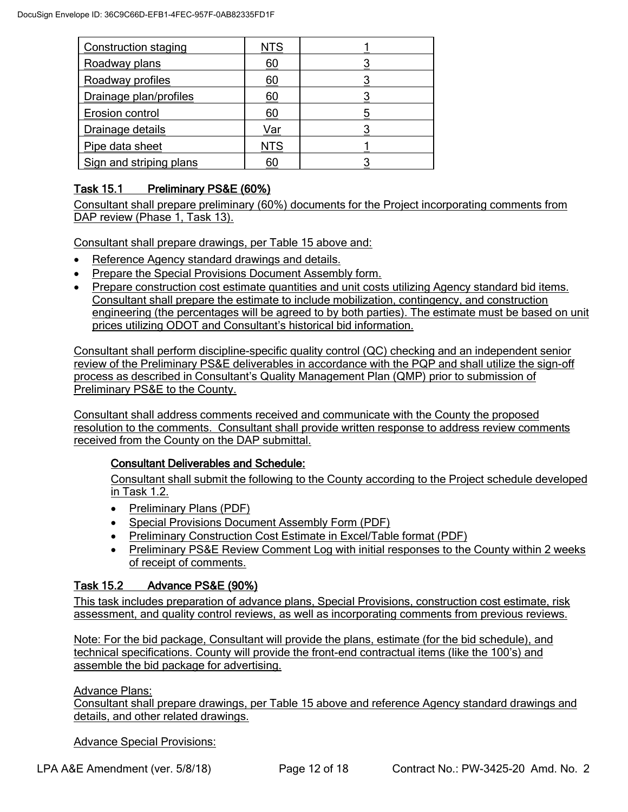| <b>Construction staging</b> | NTS |  |
|-----------------------------|-----|--|
| Roadway plans               | 60  |  |
| Roadway profiles            | 60  |  |
| Drainage plan/profiles      | 60  |  |
| Erosion control             | 60  |  |
| Drainage details            | Var |  |
| Pipe data sheet             | NTS |  |
| Sign and striping plans     | 60  |  |

# Task 15.1 Preliminary PS&E (60%)

Consultant shall prepare preliminary (60%) documents for the Project incorporating comments from DAP review (Phase 1, Task 13).

Consultant shall prepare drawings, per Table 15 above and:

- Reference Agency standard drawings and details.
- Prepare the Special Provisions Document Assembly form.
- Prepare construction cost estimate quantities and unit costs utilizing Agency standard bid items. Consultant shall prepare the estimate to include mobilization, contingency, and construction engineering (the percentages will be agreed to by both parties). The estimate must be based on unit prices utilizing ODOT and Consultant's historical bid information.

Consultant shall perform discipline-specific quality control (QC) checking and an independent senior review of the Preliminary PS&E deliverables in accordance with the PQP and shall utilize the sign-off process as described in Consultant's Quality Management Plan (QMP) prior to submission of Preliminary PS&E to the County.

Consultant shall address comments received and communicate with the County the proposed resolution to the comments. Consultant shall provide written response to address review comments received from the County on the DAP submittal.

# Consultant Deliverables and Schedule:

Consultant shall submit the following to the County according to the Project schedule developed in Task 1.2.

- Preliminary Plans (PDF)
- Special Provisions Document Assembly Form (PDF)
- Preliminary Construction Cost Estimate in Excel/Table format (PDF)
- Preliminary PS&E Review Comment Log with initial responses to the County within 2 weeks of receipt of comments.

# Task 15.2 Advance PS&E (90%)

This task includes preparation of advance plans, Special Provisions, construction cost estimate, risk assessment, and quality control reviews, as well as incorporating comments from previous reviews.

Note: For the bid package, Consultant will provide the plans, estimate (for the bid schedule), and technical specifications. County will provide the front-end contractual items (like the 100's) and assemble the bid package for advertising.

### Advance Plans:

Consultant shall prepare drawings, per Table 15 above and reference Agency standard drawings and details, and other related drawings.

Advance Special Provisions: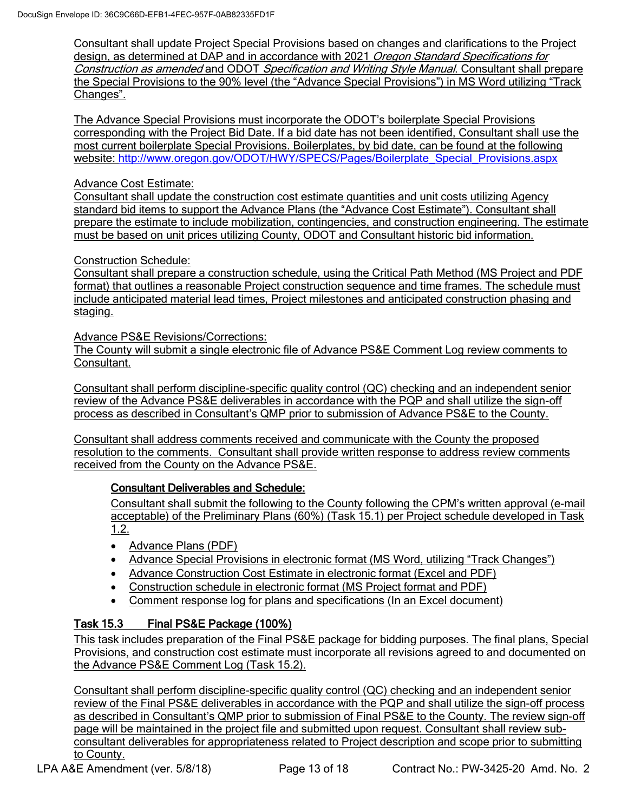Consultant shall update Project Special Provisions based on changes and clarifications to the Project design, as determined at DAP and in accordance with 2021 Oregon Standard Specifications for Construction as amended and ODOT Specification and Writing Style Manual. Consultant shall prepare the Special Provisions to the 90% level (the "Advance Special Provisions") in MS Word utilizing "Track Changes".

The Advance Special Provisions must incorporate the ODOT's boilerplate Special Provisions corresponding with the Project Bid Date. If a bid date has not been identified, Consultant shall use the most current boilerplate Special Provisions. Boilerplates, by bid date, can be found at the following website: [http://www.oregon.gov/ODOT/HWY/SPECS/Pages/Boilerplate\\_Special\\_Provisions.aspx](http://www.oregon.gov/ODOT/HWY/SPECS/Pages/Boilerplate_Special_Provisions.aspx)

### Advance Cost Estimate:

Consultant shall update the construction cost estimate quantities and unit costs utilizing Agency standard bid items to support the Advance Plans (the "Advance Cost Estimate"). Consultant shall prepare the estimate to include mobilization, contingencies, and construction engineering. The estimate must be based on unit prices utilizing County, ODOT and Consultant historic bid information.

Construction Schedule:

Consultant shall prepare a construction schedule, using the Critical Path Method (MS Project and PDF format) that outlines a reasonable Project construction sequence and time frames. The schedule must include anticipated material lead times, Project milestones and anticipated construction phasing and staging.

Advance PS&E Revisions/Corrections:

The County will submit a single electronic file of Advance PS&E Comment Log review comments to Consultant.

Consultant shall perform discipline-specific quality control (QC) checking and an independent senior review of the Advance PS&E deliverables in accordance with the PQP and shall utilize the sign-off process as described in Consultant's QMP prior to submission of Advance PS&E to the County.

Consultant shall address comments received and communicate with the County the proposed resolution to the comments. Consultant shall provide written response to address review comments received from the County on the Advance PS&E.

### Consultant Deliverables and Schedule:

Consultant shall submit the following to the County following the CPM's written approval (e-mail acceptable) of the Preliminary Plans (60%) (Task 15.1) per Project schedule developed in Task 1.2.

- Advance Plans (PDF)
- Advance Special Provisions in electronic format (MS Word, utilizing "Track Changes")
- Advance Construction Cost Estimate in electronic format (Excel and PDF)
- Construction schedule in electronic format (MS Project format and PDF)
- Comment response log for plans and specifications (In an Excel document)

# Task 15.3 Final PS&E Package (100%)

This task includes preparation of the Final PS&E package for bidding purposes. The final plans, Special Provisions, and construction cost estimate must incorporate all revisions agreed to and documented on the Advance PS&E Comment Log (Task 15.2).

Consultant shall perform discipline-specific quality control (QC) checking and an independent senior review of the Final PS&E deliverables in accordance with the PQP and shall utilize the sign-off process as described in Consultant's QMP prior to submission of Final PS&E to the County. The review sign-off page will be maintained in the project file and submitted upon request. Consultant shall review subconsultant deliverables for appropriateness related to Project description and scope prior to submitting to County.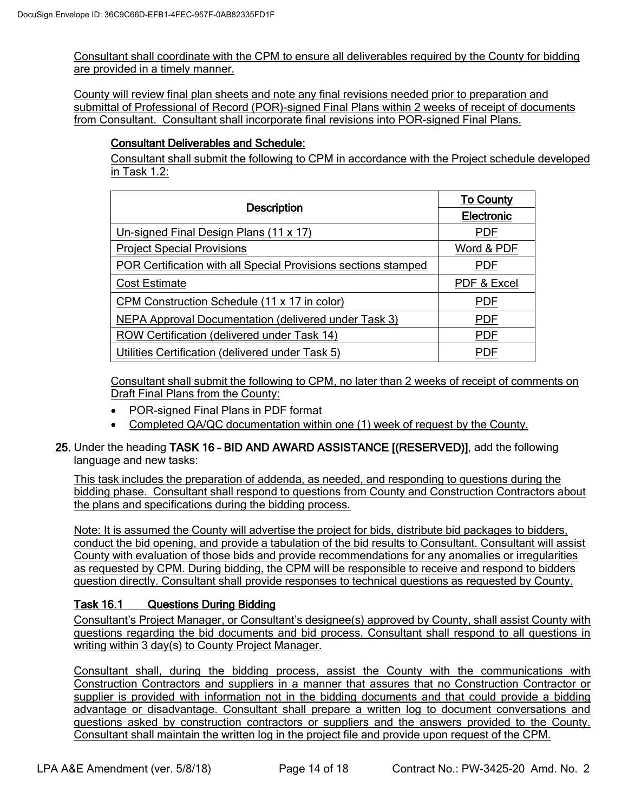Consultant shall coordinate with the CPM to ensure all deliverables required by the County for bidding are provided in a timely manner.

County will review final plan sheets and note any final revisions needed prior to preparation and submittal of Professional of Record (POR)-signed Final Plans within 2 weeks of receipt of documents from Consultant. Consultant shall incorporate final revisions into POR-signed Final Plans.

### Consultant Deliverables and Schedule:

Consultant shall submit the following to CPM in accordance with the Project schedule developed in Task 1.2:

|                                                                | <b>To County</b>  |  |
|----------------------------------------------------------------|-------------------|--|
| <b>Description</b>                                             | <b>Electronic</b> |  |
| Un-signed Final Design Plans (11 x 17)                         | <b>PDF</b>        |  |
| <b>Project Special Provisions</b>                              | Word & PDF        |  |
| POR Certification with all Special Provisions sections stamped | <b>PDF</b>        |  |
| <b>Cost Estimate</b>                                           | PDF & Excel       |  |
| CPM Construction Schedule (11 x 17 in color)                   | <b>PDF</b>        |  |
| NEPA Approval Documentation (delivered under Task 3)           | <b>PDF</b>        |  |
| ROW Certification (delivered under Task 14)                    | <b>PDF</b>        |  |
| Utilities Certification (delivered under Task 5)               | PDF               |  |

Consultant shall submit the following to CPM, no later than 2 weeks of receipt of comments on Draft Final Plans from the County:

- POR-signed Final Plans in PDF format
- Completed QA/QC documentation within one (1) week of request by the County.
- 25. Under the heading TASK 16 BID AND AWARD ASSISTANCE [(RESERVED)], add the following language and new tasks:

This task includes the preparation of addenda, as needed, and responding to questions during the bidding phase. Consultant shall respond to questions from County and Construction Contractors about the plans and specifications during the bidding process.

Note: It is assumed the County will advertise the project for bids, distribute bid packages to bidders, conduct the bid opening, and provide a tabulation of the bid results to Consultant. Consultant will assist County with evaluation of those bids and provide recommendations for any anomalies or irregularities as requested by CPM. During bidding, the CPM will be responsible to receive and respond to bidders question directly. Consultant shall provide responses to technical questions as requested by County.

### Task 16.1 Questions During Bidding

Consultant's Project Manager, or Consultant's designee(s) approved by County, shall assist County with questions regarding the bid documents and bid process. Consultant shall respond to all questions in writing within 3 day(s) to County Project Manager.

Consultant shall, during the bidding process, assist the County with the communications with Construction Contractors and suppliers in a manner that assures that no Construction Contractor or supplier is provided with information not in the bidding documents and that could provide a bidding advantage or disadvantage. Consultant shall prepare a written log to document conversations and questions asked by construction contractors or suppliers and the answers provided to the County. Consultant shall maintain the written log in the project file and provide upon request of the CPM.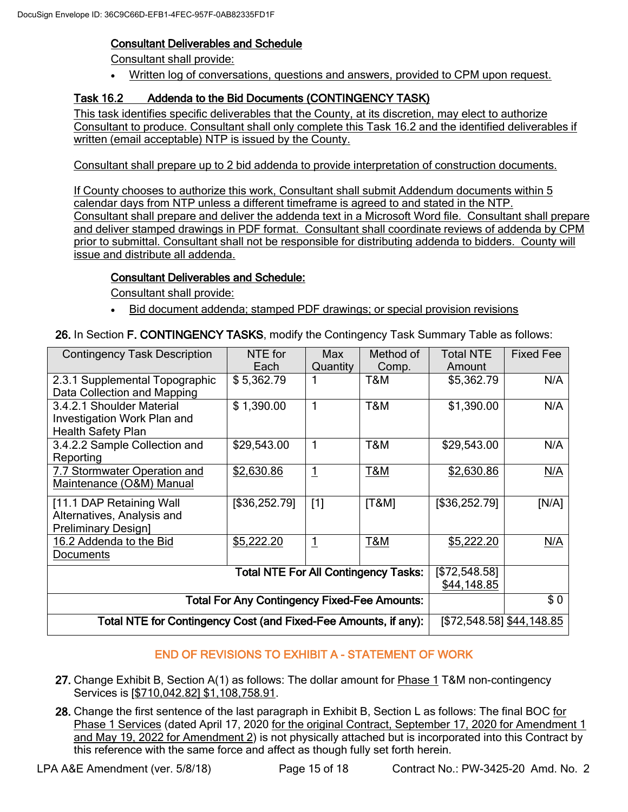### Consultant Deliverables and Schedule

Consultant shall provide:

• Written log of conversations, questions and answers, provided to CPM upon request.

# Task 16.2 Addenda to the Bid Documents (CONTINGENCY TASK)

This task identifies specific deliverables that the County, at its discretion, may elect to authorize Consultant to produce. Consultant shall only complete this Task 16.2 and the identified deliverables if written (email acceptable) NTP is issued by the County.

Consultant shall prepare up to 2 bid addenda to provide interpretation of construction documents.

If County chooses to authorize this work, Consultant shall submit Addendum documents within 5 calendar days from NTP unless a different timeframe is agreed to and stated in the NTP. Consultant shall prepare and deliver the addenda text in a Microsoft Word file. Consultant shall prepare and deliver stamped drawings in PDF format. Consultant shall coordinate reviews of addenda by CPM prior to submittal. Consultant shall not be responsible for distributing addenda to bidders. County will issue and distribute all addenda.

### Consultant Deliverables and Schedule:

Consultant shall provide:

• Bid document addenda; stamped PDF drawings; or special provision revisions

26. In Section F. CONTINGENCY TASKS, modify the Contingency Task Summary Table as follows:

| <b>Contingency Task Description</b>                             | NTE for                   | <b>Max</b>     | Method of      | <b>Total NTE</b> | <b>Fixed Fee</b> |
|-----------------------------------------------------------------|---------------------------|----------------|----------------|------------------|------------------|
|                                                                 | Each                      | Quantity       | Comp.          | Amount           |                  |
| 2.3.1 Supplemental Topographic                                  | \$5,362.79                | 1              | T&M            | \$5,362.79       | N/A              |
| Data Collection and Mapping                                     |                           |                |                |                  |                  |
| 3.4.2.1 Shoulder Material                                       | \$1,390.00                | 1              | T&M            | \$1,390.00       | N/A              |
| Investigation Work Plan and                                     |                           |                |                |                  |                  |
| <b>Health Safety Plan</b>                                       |                           |                |                |                  |                  |
| 3.4.2.2 Sample Collection and                                   | \$29,543.00               | 1              | T&M            | \$29,543.00      | N/A              |
| Reporting                                                       |                           |                |                |                  |                  |
| 7.7 Stormwater Operation and                                    | \$2,630.86                | <u>1</u>       | <b>T&amp;M</b> | \$2,630.86       | N/A              |
| Maintenance (O&M) Manual                                        |                           |                |                |                  |                  |
| [11.1 DAP Retaining Wall                                        | [\$36,252.79]             | $[1]$          | [T&M]          | [\$36,252.79]    | [N/A]            |
| Alternatives, Analysis and                                      |                           |                |                |                  |                  |
| <b>Preliminary Design1</b>                                      |                           |                |                |                  |                  |
| 16.2 Addenda to the Bid                                         | \$5,222.20                | $\overline{1}$ | <b>T&amp;M</b> | \$5,222.20       | N/A              |
| Documents                                                       |                           |                |                |                  |                  |
|                                                                 | [\$72,548.58]             |                |                |                  |                  |
|                                                                 | \$44,148.85               |                |                |                  |                  |
| <b>Total For Any Contingency Fixed-Fee Amounts:</b>             |                           | \$0            |                |                  |                  |
| Total NTE for Contingency Cost (and Fixed-Fee Amounts, if any): | [\$72,548.58] \$44,148.85 |                |                |                  |                  |

# END OF REVISIONS TO EXHIBIT A - STATEMENT OF WORK

- 27. Change Exhibit B, Section A(1) as follows: The dollar amount for Phase 1 T&M non-contingency Services is [\$710,042.82] \$1,108,758.91.
- 28. Change the first sentence of the last paragraph in Exhibit B, Section L as follows: The final BOC for Phase 1 Services (dated April 17, 2020 for the original Contract, September 17, 2020 for Amendment 1 and May 19, 2022 for Amendment 2) is not physically attached but is incorporated into this Contract by this reference with the same force and affect as though fully set forth herein.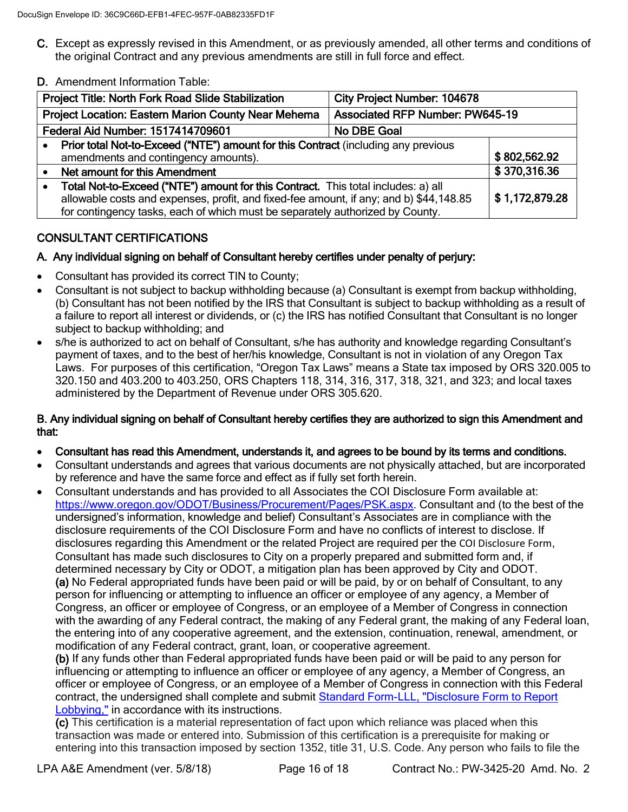- C. Except as expressly revised in this Amendment, or as previously amended, all other terms and conditions of the original Contract and any previous amendments are still in full force and effect.
- D. Amendment Information Table:

| Project Title: North Fork Road Slide Stabilization<br><b>City Project Number: 104678</b>                                                                                                                                                                     |                                        |                |
|--------------------------------------------------------------------------------------------------------------------------------------------------------------------------------------------------------------------------------------------------------------|----------------------------------------|----------------|
| <b>Project Location: Eastern Marion County Near Mehema</b>                                                                                                                                                                                                   | <b>Associated RFP Number: PW645-19</b> |                |
| Federal Aid Number: 1517414709601<br>No DBE Goal                                                                                                                                                                                                             |                                        |                |
| Prior total Not-to-Exceed ("NTE") amount for this Contract (including any previous<br>amendments and contingency amounts).                                                                                                                                   |                                        | \$802,562.92   |
| Net amount for this Amendment                                                                                                                                                                                                                                |                                        | \$370,316.36   |
| Total Not-to-Exceed ("NTE") amount for this Contract. This total includes: a) all<br>allowable costs and expenses, profit, and fixed-fee amount, if any; and b) \$44,148.85<br>for contingency tasks, each of which must be separately authorized by County. |                                        | \$1,172,879.28 |

# CONSULTANT CERTIFICATIONS

# A. Any individual signing on behalf of Consultant hereby certifies under penalty of perjury:

- Consultant has provided its correct TIN to County;
- Consultant is not subject to backup withholding because (a) Consultant is exempt from backup withholding, (b) Consultant has not been notified by the IRS that Consultant is subject to backup withholding as a result of a failure to report all interest or dividends, or (c) the IRS has notified Consultant that Consultant is no longer subject to backup withholding; and
- s/he is authorized to act on behalf of Consultant, s/he has authority and knowledge regarding Consultant's payment of taxes, and to the best of her/his knowledge, Consultant is not in violation of any Oregon Tax Laws. For purposes of this certification, "Oregon Tax Laws" means a State tax imposed by ORS 320.005 to 320.150 and 403.200 to 403.250, ORS Chapters 118, 314, 316, 317, 318, 321, and 323; and local taxes administered by the Department of Revenue under ORS 305.620.

### B. Any individual signing on behalf of Consultant hereby certifies they are authorized to sign this Amendment and that:

- Consultant has read this Amendment, understands it, and agrees to be bound by its terms and conditions.
- Consultant understands and agrees that various documents are not physically attached, but are incorporated by reference and have the same force and effect as if fully set forth herein.
- Consultant understands and has provided to all Associates the COI Disclosure Form available at: [https://www.oregon.gov/ODOT/Business/Procurement/Pages/PSK.aspx.](https://www.oregon.gov/odot/Business/Procurement/Pages/PSK.aspx) Consultant and (to the best of the undersigned's information, knowledge and belief) Consultant's Associates are in compliance with the disclosure requirements of the COI Disclosure Form and have no conflicts of interest to disclose. If disclosures regarding this Amendment or the related Project are required per the COI Disclosure Form, Consultant has made such disclosures to City on a properly prepared and submitted form and, if determined necessary by City or ODOT, a mitigation plan has been approved by City and ODOT. (a) No Federal appropriated funds have been paid or will be paid, by or on behalf of Consultant, to any person for influencing or attempting to influence an officer or employee of any agency, a Member of Congress, an officer or employee of Congress, or an employee of a Member of Congress in connection with the awarding of any Federal contract, the making of any Federal grant, the making of any Federal loan, the entering into of any cooperative agreement, and the extension, continuation, renewal, amendment, or modification of any Federal contract, grant, loan, or cooperative agreement.

(b) If any funds other than Federal appropriated funds have been paid or will be paid to any person for influencing or attempting to influence an officer or employee of any agency, a Member of Congress, an officer or employee of Congress, or an employee of a Member of Congress in connection with this Federal contract, the undersigned shall complete and submit [Standard Form-LLL, "Disclosure Form to Report](https://www.gsa.gov/cdnstatic/SFLLL_1_2_P-V1.2.pdf?forceDownload=1)  [Lobbying,"](https://www.gsa.gov/cdnstatic/SFLLL_1_2_P-V1.2.pdf?forceDownload=1) in accordance with its instructions.

(c) This certification is a material representation of fact upon which reliance was placed when this transaction was made or entered into. Submission of this certification is a prerequisite for making or entering into this transaction imposed by section 1352, title 31, U.S. Code. Any person who fails to file the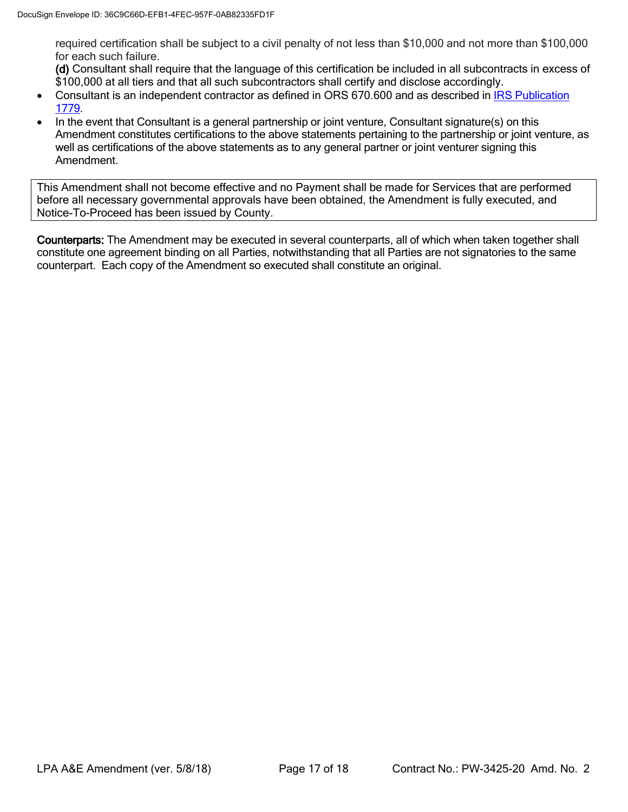required certification shall be subject to a civil penalty of not less than \$10,000 and not more than \$100,000 for each such failure.

(d) Consultant shall require that the language of this certification be included in all subcontracts in excess of \$100,000 at all tiers and that all such subcontractors shall certify and disclose accordingly.

- Consultant is an independent contractor as defined in ORS 670.600 and as described in [IRS Publication](https://www.irs.gov/pub/irs-pdf/p1779.pdf)  [1779.](https://www.irs.gov/pub/irs-pdf/p1779.pdf)
- In the event that Consultant is a general partnership or joint venture, Consultant signature(s) on this Amendment constitutes certifications to the above statements pertaining to the partnership or joint venture, as well as certifications of the above statements as to any general partner or joint venturer signing this Amendment.

This Amendment shall not become effective and no Payment shall be made for Services that are performed before all necessary governmental approvals have been obtained, the Amendment is fully executed, and Notice-To-Proceed has been issued by County.

Counterparts: The Amendment may be executed in several counterparts, all of which when taken together shall constitute one agreement binding on all Parties, notwithstanding that all Parties are not signatories to the same counterpart. Each copy of the Amendment so executed shall constitute an original.